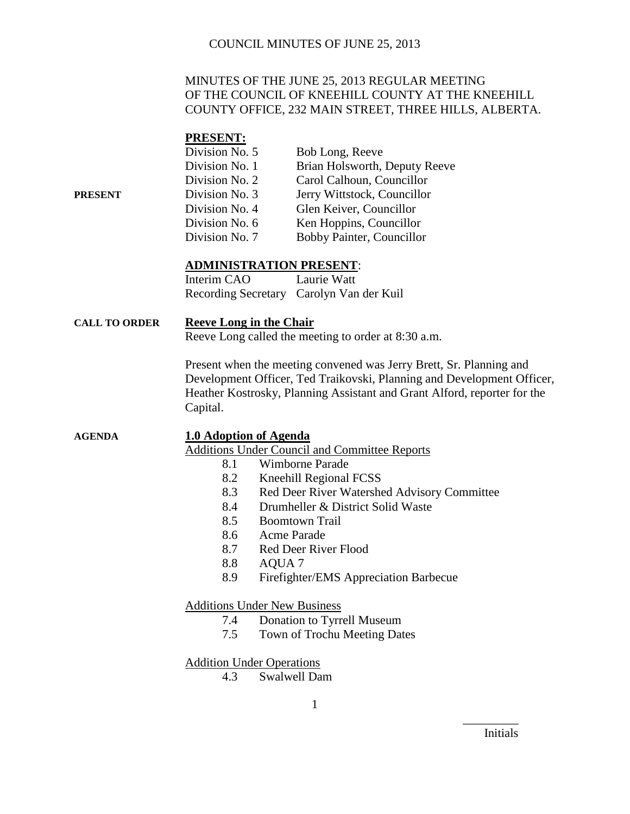### MINUTES OF THE JUNE 25, 2013 REGULAR MEETING OF THE COUNCIL OF KNEEHILL COUNTY AT THE KNEEHILL COUNTY OFFICE, 232 MAIN STREET, THREE HILLS, ALBERTA.

#### **PRESENT:**

|         | Division No. 5 | Bob Long, Reeve               |
|---------|----------------|-------------------------------|
|         | Division No. 1 | Brian Holsworth, Deputy Reeve |
|         | Division No. 2 | Carol Calhoun, Councillor     |
| PRESENT | Division No. 3 | Jerry Wittstock, Councillor   |
|         | Division No. 4 | Glen Keiver, Councillor       |
|         | Division No. 6 | Ken Hoppins, Councillor       |
|         | Division No. 7 | Bobby Painter, Councillor     |

#### **ADMINISTRATION PRESENT**:

| Interim CAO | Laurie Watt                              |
|-------------|------------------------------------------|
|             | Recording Secretary Carolyn Van der Kuil |

#### **CALL TO ORDER Reeve Long in the Chair**

Reeve Long called the meeting to order at 8:30 a.m.

Present when the meeting convened was Jerry Brett, Sr. Planning and Development Officer, Ted Traikovski, Planning and Development Officer, Heather Kostrosky, Planning Assistant and Grant Alford, reporter for the Capital.

**AGENDA 1.0 Adoption of Agenda** Additions Under Council and Committee Reports

- 8.1 Wimborne Parade
- 8.2 Kneehill Regional FCSS
- 8.3 Red Deer River Watershed Advisory Committee
- 8.4 Drumheller & District Solid Waste
- 8.5 Boomtown Trail
- 8.6 Acme Parade
- 8.7 Red Deer River Flood
- 8.8 AQUA 7
- 8.9 Firefighter/EMS Appreciation Barbecue

#### Additions Under New Business

- 7.4 Donation to Tyrrell Museum
- 7.5 Town of Trochu Meeting Dates

#### Addition Under Operations

4.3 Swalwell Dam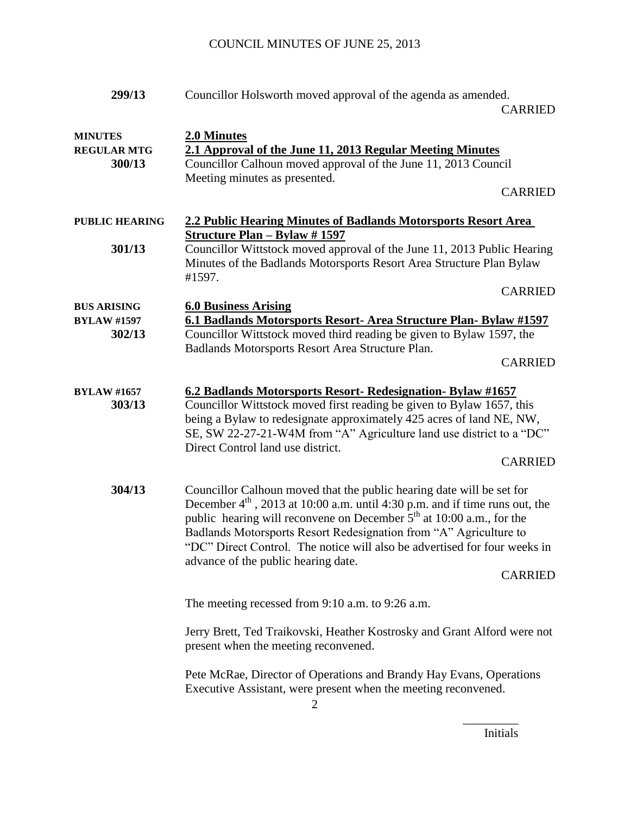| 299/13                                             | Councillor Holsworth moved approval of the agenda as amended.<br><b>CARRIED</b>                                                                                                                                                                                                                                                                                                                                                             |
|----------------------------------------------------|---------------------------------------------------------------------------------------------------------------------------------------------------------------------------------------------------------------------------------------------------------------------------------------------------------------------------------------------------------------------------------------------------------------------------------------------|
| <b>MINUTES</b><br><b>REGULAR MTG</b><br>300/13     | 2.0 Minutes<br>2.1 Approval of the June 11, 2013 Regular Meeting Minutes<br>Councillor Calhoun moved approval of the June 11, 2013 Council<br>Meeting minutes as presented.<br><b>CARRIED</b>                                                                                                                                                                                                                                               |
| <b>PUBLIC HEARING</b><br>301/13                    | 2.2 Public Hearing Minutes of Badlands Motorsports Resort Area<br><b>Structure Plan - Bylaw #1597</b><br>Councillor Wittstock moved approval of the June 11, 2013 Public Hearing<br>Minutes of the Badlands Motorsports Resort Area Structure Plan Bylaw<br>#1597.<br><b>CARRIED</b>                                                                                                                                                        |
| <b>BUS ARISING</b><br><b>BYLAW #1597</b><br>302/13 | <b>6.0 Business Arising</b><br>6.1 Badlands Motorsports Resort- Area Structure Plan- Bylaw #1597<br>Councillor Wittstock moved third reading be given to Bylaw 1597, the<br>Badlands Motorsports Resort Area Structure Plan.<br><b>CARRIED</b>                                                                                                                                                                                              |
| <b>BYLAW #1657</b><br>303/13                       | 6.2 Badlands Motorsports Resort- Redesignation- Bylaw #1657<br>Councillor Wittstock moved first reading be given to Bylaw 1657, this<br>being a Bylaw to redesignate approximately 425 acres of land NE, NW,<br>SE, SW 22-27-21-W4M from "A" Agriculture land use district to a "DC"<br>Direct Control land use district.<br><b>CARRIED</b>                                                                                                 |
| 304/13                                             | Councillor Calhoun moved that the public hearing date will be set for<br>December $4th$ , 2013 at 10:00 a.m. until 4:30 p.m. and if time runs out, the<br>public hearing will reconvene on December $5th$ at 10:00 a.m., for the<br>Badlands Motorsports Resort Redesignation from "A" Agriculture to<br>"DC" Direct Control. The notice will also be advertised for four weeks in<br>advance of the public hearing date.<br><b>CARRIED</b> |
|                                                    | The meeting recessed from 9:10 a.m. to 9:26 a.m.                                                                                                                                                                                                                                                                                                                                                                                            |
|                                                    | Jerry Brett, Ted Traikovski, Heather Kostrosky and Grant Alford were not<br>present when the meeting reconvened.                                                                                                                                                                                                                                                                                                                            |
|                                                    | Pete McRae, Director of Operations and Brandy Hay Evans, Operations<br>Executive Assistant, were present when the meeting reconvened.                                                                                                                                                                                                                                                                                                       |

Initials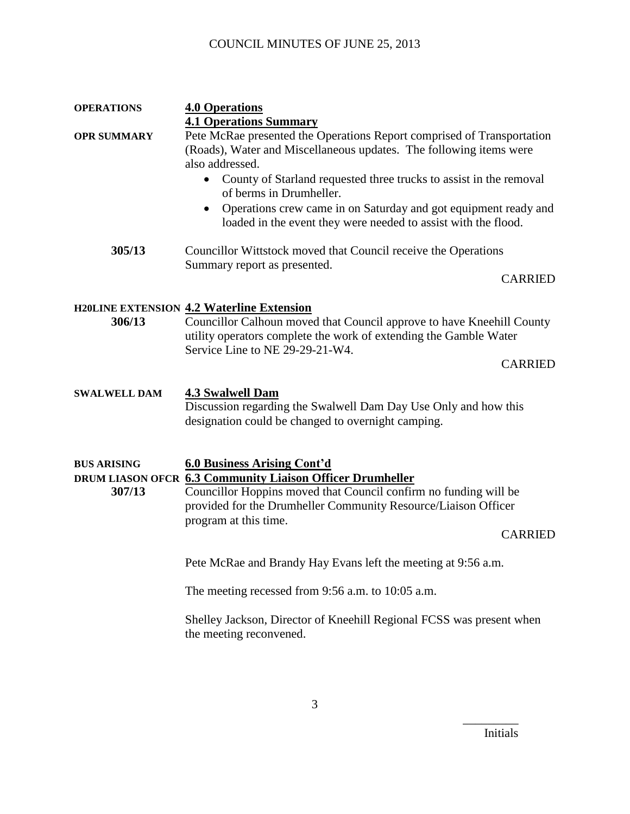| <b>OPERATIONS</b>            | <b>4.0 Operations</b>                                                                                                                                                                                                                                                                                                                                                                                                                                            |  |
|------------------------------|------------------------------------------------------------------------------------------------------------------------------------------------------------------------------------------------------------------------------------------------------------------------------------------------------------------------------------------------------------------------------------------------------------------------------------------------------------------|--|
| <b>OPR SUMMARY</b>           | <b>4.1 Operations Summary</b><br>Pete McRae presented the Operations Report comprised of Transportation<br>(Roads), Water and Miscellaneous updates. The following items were<br>also addressed.<br>County of Starland requested three trucks to assist in the removal<br>$\bullet$<br>of berms in Drumheller.<br>Operations crew came in on Saturday and got equipment ready and<br>$\bullet$<br>loaded in the event they were needed to assist with the flood. |  |
| 305/13                       | Councillor Wittstock moved that Council receive the Operations                                                                                                                                                                                                                                                                                                                                                                                                   |  |
|                              | Summary report as presented.<br><b>CARRIED</b>                                                                                                                                                                                                                                                                                                                                                                                                                   |  |
| 306/13                       | <b>H20LINE EXTENSION 4.2 Waterline Extension</b><br>Councillor Calhoun moved that Council approve to have Kneehill County<br>utility operators complete the work of extending the Gamble Water<br>Service Line to NE 29-29-21-W4.<br><b>CARRIED</b>                                                                                                                                                                                                              |  |
| <b>SWALWELL DAM</b>          | <b>4.3 Swalwell Dam</b><br>Discussion regarding the Swalwell Dam Day Use Only and how this<br>designation could be changed to overnight camping.                                                                                                                                                                                                                                                                                                                 |  |
| <b>BUS ARISING</b><br>307/13 | <b>6.0 Business Arising Cont'd</b><br>DRUM LIASON OFCR 6.3 Community Liaison Officer Drumheller<br>Councillor Hoppins moved that Council confirm no funding will be<br>provided for the Drumheller Community Resource/Liaison Officer<br>program at this time.<br><b>CARRIED</b>                                                                                                                                                                                 |  |
|                              | Pete McRae and Brandy Hay Evans left the meeting at 9:56 a.m.                                                                                                                                                                                                                                                                                                                                                                                                    |  |
|                              | The meeting recessed from 9:56 a.m. to 10:05 a.m.                                                                                                                                                                                                                                                                                                                                                                                                                |  |
|                              | Shelley Jackson, Director of Kneehill Regional FCSS was present when<br>the meeting reconvened.                                                                                                                                                                                                                                                                                                                                                                  |  |

Initials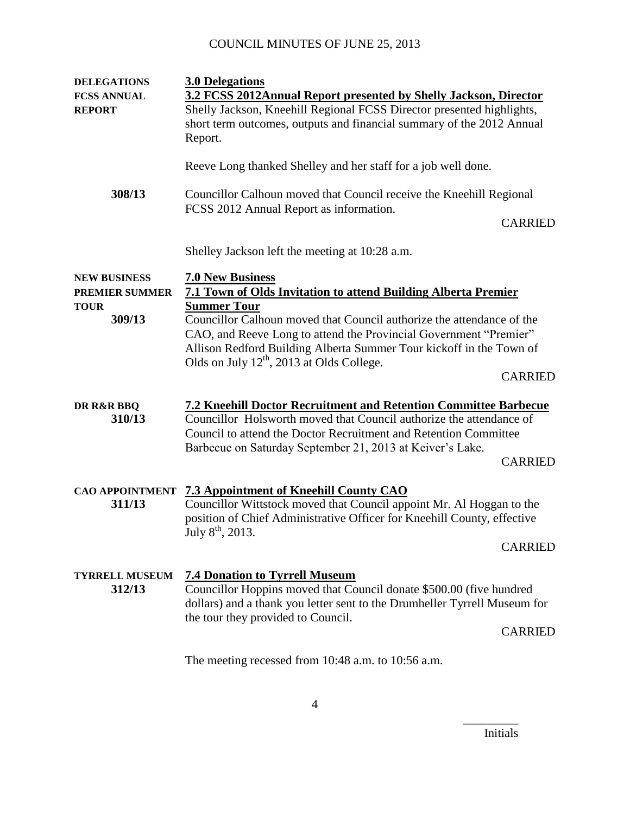| <b>DELEGATIONS</b><br><b>FCSS ANNUAL</b><br><b>REPORT</b> | <b>3.0 Delegations</b><br>3.2 FCSS 2012Annual Report presented by Shelly Jackson, Director<br>Shelly Jackson, Kneehill Regional FCSS Director presented highlights,<br>short term outcomes, outputs and financial summary of the 2012 Annual<br>Report.                                   |                |
|-----------------------------------------------------------|-------------------------------------------------------------------------------------------------------------------------------------------------------------------------------------------------------------------------------------------------------------------------------------------|----------------|
|                                                           | Reeve Long thanked Shelley and her staff for a job well done.                                                                                                                                                                                                                             |                |
| 308/13                                                    | Councillor Calhoun moved that Council receive the Kneehill Regional<br>FCSS 2012 Annual Report as information.                                                                                                                                                                            |                |
|                                                           |                                                                                                                                                                                                                                                                                           | <b>CARRIED</b> |
|                                                           | Shelley Jackson left the meeting at 10:28 a.m.                                                                                                                                                                                                                                            |                |
| <b>NEW BUSINESS</b><br><b>PREMIER SUMMER</b>              | <b>7.0 New Business</b><br><b>7.1 Town of Olds Invitation to attend Building Alberta Premier</b>                                                                                                                                                                                          |                |
| <b>TOUR</b><br>309/13                                     | <b>Summer Tour</b><br>Councillor Calhoun moved that Council authorize the attendance of the<br>CAO, and Reeve Long to attend the Provincial Government "Premier"<br>Allison Redford Building Alberta Summer Tour kickoff in the Town of<br>Olds on July $12^{th}$ , 2013 at Olds College. | <b>CARRIED</b> |
| DR R&R BBQ<br>310/13                                      | <b>7.2 Kneehill Doctor Recruitment and Retention Committee Barbecue</b><br>Councillor Holsworth moved that Council authorize the attendance of<br>Council to attend the Doctor Recruitment and Retention Committee<br>Barbecue on Saturday September 21, 2013 at Keiver's Lake.           | <b>CARRIED</b> |
| <b>CAO APPOINTMENT</b><br>311/13                          | <b>7.3 Appointment of Kneehill County CAO</b><br>Councillor Wittstock moved that Council appoint Mr. Al Hoggan to the<br>position of Chief Administrative Officer for Kneehill County, effective<br>July $8^{th}$ , 2013.                                                                 | <b>CARRIED</b> |
| <b>TYRRELL MUSEUM</b><br>312/13                           | <b>7.4 Donation to Tyrrell Museum</b><br>Councillor Hoppins moved that Council donate \$500.00 (five hundred<br>dollars) and a thank you letter sent to the Drumheller Tyrrell Museum for<br>the tour they provided to Council.                                                           | <b>CARRIED</b> |
|                                                           | The meeting recessed from 10:48 a.m. to 10:56 a.m.                                                                                                                                                                                                                                        |                |

Initials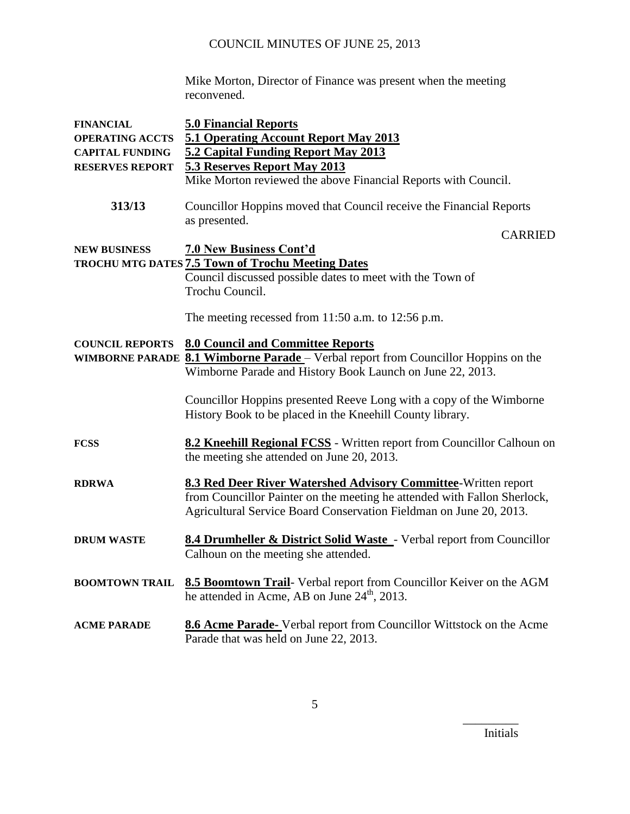Mike Morton, Director of Finance was present when the meeting reconvened.

| <b>FINANCIAL</b>       | <b>5.0 Financial Reports</b>                                                                                                                                                                                     |
|------------------------|------------------------------------------------------------------------------------------------------------------------------------------------------------------------------------------------------------------|
| <b>OPERATING ACCTS</b> | 5.1 Operating Account Report May 2013                                                                                                                                                                            |
| <b>CAPITAL FUNDING</b> | 5.2 Capital Funding Report May 2013                                                                                                                                                                              |
| <b>RESERVES REPORT</b> | 5.3 Reserves Report May 2013                                                                                                                                                                                     |
|                        | Mike Morton reviewed the above Financial Reports with Council.                                                                                                                                                   |
| 313/13                 | Councillor Hoppins moved that Council receive the Financial Reports<br>as presented.                                                                                                                             |
|                        | <b>CARRIED</b>                                                                                                                                                                                                   |
| <b>NEW BUSINESS</b>    | <b>7.0 New Business Cont'd</b>                                                                                                                                                                                   |
|                        | TROCHU MTG DATES <b>7.5 Town of Trochu Meeting Dates</b>                                                                                                                                                         |
|                        | Council discussed possible dates to meet with the Town of<br>Trochu Council.                                                                                                                                     |
|                        | The meeting recessed from $11:50$ a.m. to $12:56$ p.m.                                                                                                                                                           |
| <b>COUNCIL REPORTS</b> | <b>8.0 Council and Committee Reports</b>                                                                                                                                                                         |
|                        | WIMBORNE PARADE 8.1 Wimborne Parade - Verbal report from Councillor Hoppins on the                                                                                                                               |
|                        | Wimborne Parade and History Book Launch on June 22, 2013.                                                                                                                                                        |
|                        | Councillor Hoppins presented Reeve Long with a copy of the Wimborne                                                                                                                                              |
|                        | History Book to be placed in the Kneehill County library.                                                                                                                                                        |
| <b>FCSS</b>            | 8.2 Kneehill Regional FCSS - Written report from Councillor Calhoun on                                                                                                                                           |
|                        | the meeting she attended on June 20, 2013.                                                                                                                                                                       |
| <b>RDRWA</b>           | 8.3 Red Deer River Watershed Advisory Committee-Written report<br>from Councillor Painter on the meeting he attended with Fallon Sherlock,<br>Agricultural Service Board Conservation Fieldman on June 20, 2013. |
| <b>DRUM WASTE</b>      | <b>8.4 Drumheller &amp; District Solid Waste</b> - Verbal report from Councillor<br>Calhoun on the meeting she attended.                                                                                         |
| <b>BOOMTOWN TRAIL</b>  | 8.5 Boomtown Trail- Verbal report from Councillor Keiver on the AGM<br>he attended in Acme, AB on June $24th$ , 2013.                                                                                            |
| <b>ACME PARADE</b>     | 8.6 Acme Parade-Verbal report from Councillor Wittstock on the Acme<br>Parade that was held on June 22, 2013.                                                                                                    |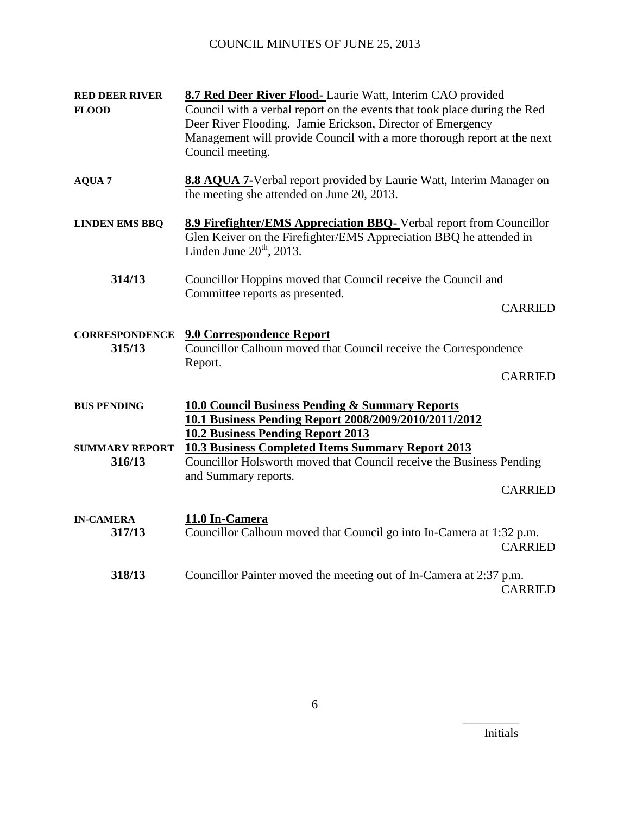| <b>RED DEER RIVER</b><br><b>FLOOD</b> | 8.7 Red Deer River Flood-Laurie Watt, Interim CAO provided<br>Council with a verbal report on the events that took place during the Red<br>Deer River Flooding. Jamie Erickson, Director of Emergency<br>Management will provide Council with a more thorough report at the next<br>Council meeting. |                |
|---------------------------------------|------------------------------------------------------------------------------------------------------------------------------------------------------------------------------------------------------------------------------------------------------------------------------------------------------|----------------|
| <b>AQUA 7</b>                         | 8.8 AQUA 7-Verbal report provided by Laurie Watt, Interim Manager on<br>the meeting she attended on June 20, 2013.                                                                                                                                                                                   |                |
| <b>LINDEN EMS BBQ</b>                 | 8.9 Firefighter/EMS Appreciation BBQ-Verbal report from Councillor<br>Glen Keiver on the Firefighter/EMS Appreciation BBQ he attended in<br>Linden June $20th$ , 2013.                                                                                                                               |                |
| 314/13                                | Councillor Hoppins moved that Council receive the Council and<br>Committee reports as presented.                                                                                                                                                                                                     | <b>CARRIED</b> |
| <b>CORRESPONDENCE</b><br>315/13       | <b>9.0 Correspondence Report</b><br>Councillor Calhoun moved that Council receive the Correspondence<br>Report.                                                                                                                                                                                      | <b>CARRIED</b> |
| <b>BUS PENDING</b>                    | <b>10.0 Council Business Pending &amp; Summary Reports</b><br>10.1 Business Pending Report 2008/2009/2010/2011/2012<br><b>10.2 Business Pending Report 2013</b>                                                                                                                                      |                |
| <b>SUMMARY REPORT</b><br>316/13       | <b>10.3 Business Completed Items Summary Report 2013</b><br>Councillor Holsworth moved that Council receive the Business Pending<br>and Summary reports.                                                                                                                                             | <b>CARRIED</b> |
| <b>IN-CAMERA</b><br>317/13            | 11.0 In-Camera<br>Councillor Calhoun moved that Council go into In-Camera at 1:32 p.m.                                                                                                                                                                                                               | <b>CARRIED</b> |
| 318/13                                | Councillor Painter moved the meeting out of In-Camera at 2:37 p.m.                                                                                                                                                                                                                                   | <b>CARRIED</b> |

6

Initials